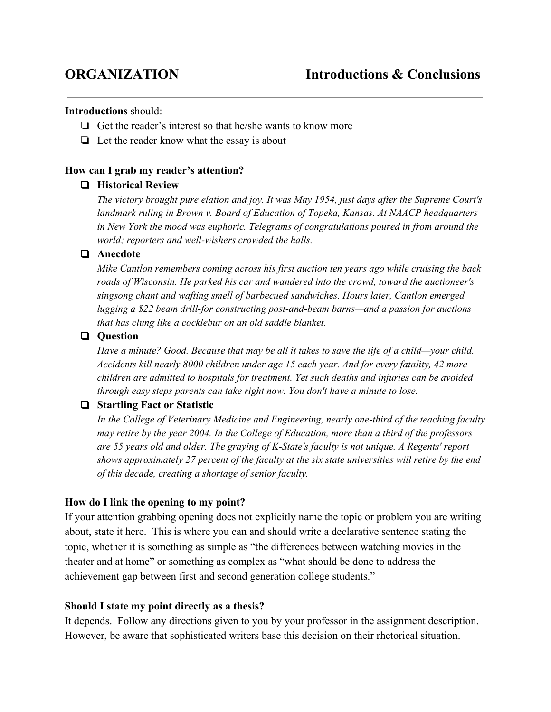### **Introductions**should:

- ❏ Get the reader's interest so that he/she wants to know more
- ❏ Let the reader know what the essay is about

# **How can I grab my reader's attention?**

# ❏ **Historical Review**

*The victory brought pure elation and joy. It was May 1954, just days after the Supreme Court's landmark ruling in Brown v. Board of Education of Topeka, Kansas. At NAACP headquarters in New York the mood was euphoric. Telegrams of congratulations poured in from around the world; reporters and well-wishers crowded the halls.* 

# ❏ **Anecdote**

*Mike Cantlon remembers coming across his first auction ten years ago while cruising the back roads of Wisconsin. He parked his car and wandered into the crowd, toward the auctioneer's singsong chant and wafting smell of barbecued sandwiches. Hours later, Cantlon emerged lugging* a \$22 *beam drill-for constructing post-and-beam barns—and a passion for auctions that has clung like a cocklebur on an old saddle blanket.*

# ❏ **Question**

Have a minute? Good. Because that may be all it takes to save the life of a child—your child. *Accidents kill nearly 8000 children under age 15 each year. And for every fatality, 42 more children are admitted to hospitals for treatment. Yet such deaths and injuries can be avoided through easy steps parents can take right now. You don't have a minute to lose.*

# ❏ **Startling Fact or Statistic**

*In the College of Veterinary Medicine and Engineering, nearly one-third of the teaching faculty may retire by the year 2004. In the College of Education, more than a third of the professors are 55 years old and older. The graying of KState's faculty is not unique. A Regents' report shows approximately 27 percent of the faculty at the six state universities will retire by the end of this decade, creating a shortage of senior faculty.*

### **How do I link the opening to my point?**

If your attention grabbing opening does not explicitly name the topic or problem you are writing about, state it here. This is where you can and should write a declarative sentence stating the topic, whether it is something as simple as "the differences between watching movies in the theater and at home" or something as complex as "what should be done to address the achievement gap between first and second generation college students."

### **Should I state my point directly as a thesis?**

It depends. Follow any directions given to you by your professor in the assignment description. However, be aware that sophisticated writers base this decision on their rhetorical situation.